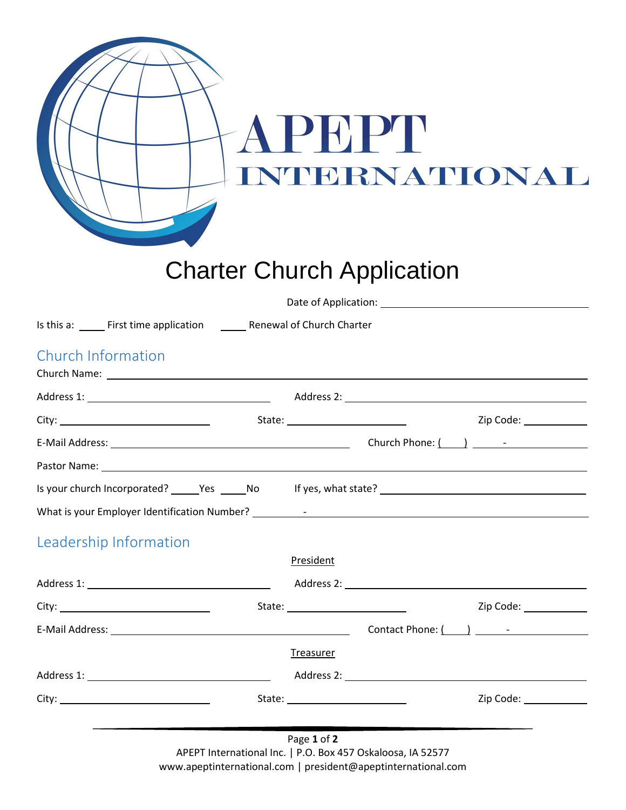|                                                                                                                                                                                                                                |                  | PEPP<br><b>NTERNATIONAL</b><br><b>Charter Church Application</b> |                        |
|--------------------------------------------------------------------------------------------------------------------------------------------------------------------------------------------------------------------------------|------------------|------------------------------------------------------------------|------------------------|
|                                                                                                                                                                                                                                |                  |                                                                  |                        |
| Is this a: _______ First time application __________ Renewal of Church Charter                                                                                                                                                 |                  |                                                                  |                        |
| Church Information                                                                                                                                                                                                             |                  |                                                                  |                        |
|                                                                                                                                                                                                                                |                  |                                                                  |                        |
|                                                                                                                                                                                                                                |                  |                                                                  |                        |
|                                                                                                                                                                                                                                |                  |                                                                  |                        |
| Pastor Name: 1988 and 2008 and 2008 and 2008 and 2008 and 2008 and 2008 and 2008 and 2008 and 2008 and 2008 and 2008 and 2008 and 2008 and 2008 and 2008 and 2008 and 2008 and 2008 and 2008 and 2008 and 2008 and 2008 and 20 |                  |                                                                  |                        |
|                                                                                                                                                                                                                                |                  |                                                                  |                        |
|                                                                                                                                                                                                                                |                  |                                                                  |                        |
| Leadership Information                                                                                                                                                                                                         |                  |                                                                  |                        |
|                                                                                                                                                                                                                                | President        |                                                                  |                        |
|                                                                                                                                                                                                                                |                  |                                                                  |                        |
|                                                                                                                                                                                                                                |                  |                                                                  | Zip Code: ____________ |
| E-Mail Address: No. 2014 12:00:00 PM and 2014 12:00:00 PM and 2014 12:00:00 PM and 2014 12:00:00 PM and 2014 1                                                                                                                 |                  |                                                                  |                        |
|                                                                                                                                                                                                                                | <b>Treasurer</b> |                                                                  |                        |
|                                                                                                                                                                                                                                |                  |                                                                  |                        |
|                                                                                                                                                                                                                                |                  |                                                                  |                        |
|                                                                                                                                                                                                                                |                  | $\sum_{i=1}^{n} a_i = \sum_{i=1}^{n} a_i$                        |                        |

Page **1** of **2** APEPT International Inc. | P.O. Box 457 Oskaloosa, IA 52577 www.apeptinternational.com | president@apeptinternational.com